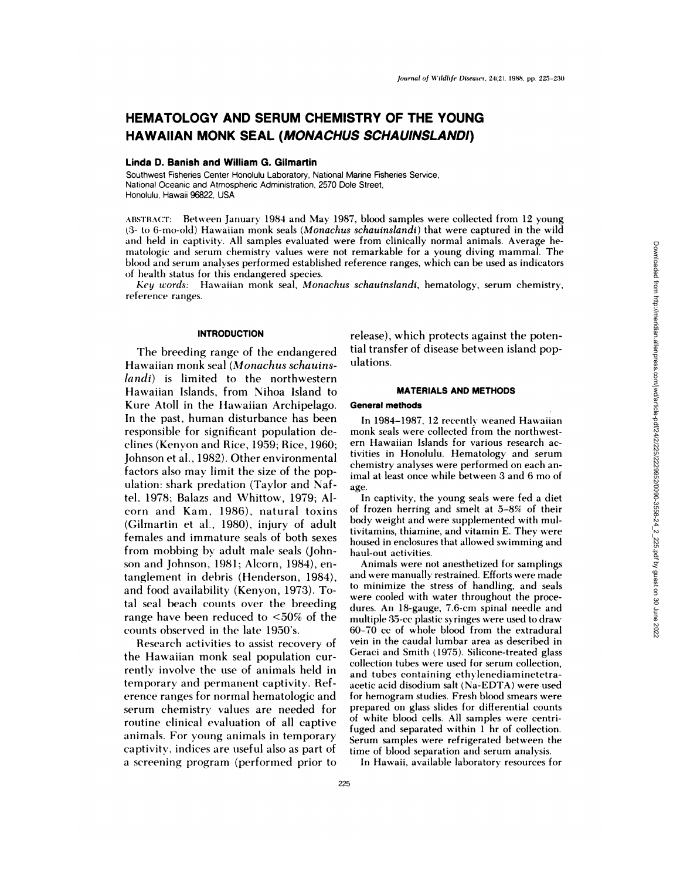# **HEMATOLOGY AND SERUM CHEMISTRY OF THE YOUNG HAWAIIAN MONK SEAL (MONACHUS SCHAUINSLANDI)**

# **Linda D. Banish and William G. Gilmartin**

Southwest Fisheries Center Honolulu Laboratory, National Marine Fisheries Service, National Oceanic and Atmospheric Administration, 2570 Dole Street, Honolulu, Hawaii 96822, USA

ABSTRACT: Between January 1984 and May 1987, blood samples were collected from 12 young (3- to 6-mo-old) Hawaiian monk seals *(Monachus schauinslandi)* that were captured in the wild and held in captivity. All samples evaluated were from clinically normal animals. Average he matologic and serum chemistry values were not remarkable for a young diving mammal. The blood and serum analyses performed established reference ranges, which can be used as indicators of health status for this endangered species.

*Key words:* Hawaiian monk seal, *Monachus schauinslandi,* hematology, serum chemistry, reference ranges.

# **INTRODUCTION**

The breeding range of the endangered Hawaiian monk seal *(Monachus schauinslandi)* is limited to the northwestern Hawaiian Islands, from Nihoa Island to Kure Atoll in the Hawaiian Archipelago. In the past, human disturbance has been responsible for significant population declines (Kenyon and Rice, 1959; Rice, 1960; Johnson et al., 1982). Other environmental factors also may limit the size of the population: shark predation (Taylor and Naftel, 1978; Balazs and Whittow, 1979; Al corn and Kam, 1986), natural toxins (Cilmartin et al., 1980), injury of adult females and immature seals of both sexes from mobbing by adult male seals (John son and Johnson, 1981; Alcorn, 1984), entanglement in debris (Henderson, 1984), and food availability (Kenyon, 1973). Total seal beach counts over the breeding range have been reduced to <50% of the counts observed in the late 1950's.

Research activities to assist recovery of the Hawaiian monk seal population currentlv involve the use of animals held in temporary and permanent captivity. Ref erence ranges for normal hematologic and serum chemistry values are needed for routine clinical evaluation of all captive animals. For young animals in temporary captivity, indices are useful also as part of a screening program (performed prior to release), which protects against the potential transfer of disease between island populations.

## **MATERIALS AND METHODS**

## **General methods**

In 1984-1987, 12 recently weaned Hawaiian monk seals were collected from the northwest ern Hawaiian Islands for various research activities in Honolulu. Hematology and serum chemistry analyses were performed on each animal at least once while between 3 and 6 mo of age.

In captivity, the young seals were fed a diet of frozen herring and smelt at 5-8% of their body weight and were supplemented with multivitamins, thiamine, and vitamin E. They were housed in enclosures that allowed swimming and haul-out activities.

Animals were not anesthetized for samplings and were manually restrained. Efforts were made to minimize the stress of handling, and seals were cooled with water throughout the procedures. An 18-gauge, 7.6-cm spinal needle and multiple 35-cc plastic syringes were used to draw 60-70 cc of whole blood from the extradural vein in the caudal lumbar area as described in Geraci and Smith (1975). Silicone-treated glass collection tubes were used for serum collection, and tubes containing ethylenediaminetetraacetic acid disodium salt (Na-EDTA) were used for hemogram studies. Fresh blood smears were prepared on glass slides for differential counts of white blood cells. All samples were centri fuged and separated within 1 hr of collection. Serum samples were refrigerated between the time of blood separation and serum analysis.

In Hawaii, available laboratory resources for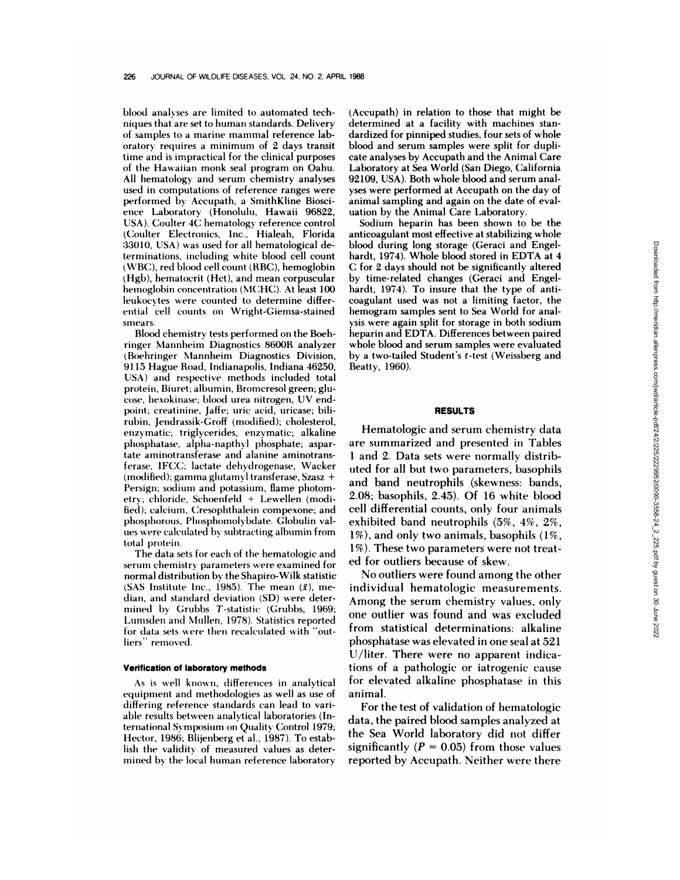blood analyses are limited to automated techniques that are set to human standards. Delivery of samples to a marine mammal reference laboratory requires a minimum of 2 days transit time and is impractical for the clinical purposes of the Hawaiian monk seal program on Oahu. All hematology and serum chemistry analyses used in computations of reference ranges were performed by Accupath, a SmithKline Biosci ence Laboratory (Honolulu, Hawaii 96822, USA). Coulter 4C hematology reference control (Coulter Electronics, Inc., Hialeah, Florida 33010, USA) was used for all hematological determinations, including white blood cell count (WBC), red blood cell count (RBC), hemoglobin (Hgb), hematocrit (Hct), and mean corpuscular hemoglobin concentration (MCHC). At least 100 leukocytes were counted to determine differential cell counts on Wright-Giemsa-stained smears.

Blood chemistry tests performed on the Boehringer Mannheim Diagnostics 8600R analyzer (Boehringer Mannheim Diagnostics Division, 9115 Hague Road, Indianapolis, Indiana 46250, USA) and respective methods included total protein, Biuret; albumin, Bromcresol green; glu cose, hexokinase; blood urea nitrogen, UV endpoint; creatinine, Jaffe; uric acid, uricase; bilirubin, Jendrassik-Groff (modified); cholesterol, enzymatic; triglycerides, enzymatic; alkaline phosphatase, alpha-napthyl phosphate; aspartate aminotransferase and alanine aminotransferase, IFCC; lactate dehydrogenase, Wacker (modified); gamma glutamyl transferase, Szasz + Persign; sodium and potassium, flame photometry; chloride, Schoenfeld + Lewellen (modified); calcium, Cresophthalein compexone; and phosphorous, Phosphomolybdate. Globulin values were calculated by subtracting albumin from total protein.

The data sets for each of the hematologic and serum chemistry parameters were examined for normal distribution by the Shapiro-Wilk statistic (SAS Institute Inc., 1985). The mean  $(\bar{x})$ , median, and standard deviation (SD) were deter mined by Grubbs T-statistic (Grubbs, 1969; Lumsden and Mullen, 1978). Statistics reported for data sets were then recalculated with "outliers' removed.

#### **Verification of laboratory methods**

As **is** well known, differences in analytical equipment and methodologies as well as use of differing reference standards can lead to variable results between analytical laboratories (International Symposium on Quality Control 1979; Hector, 1986; Blijenberg et al., 1987). To establish the validity of measured values as deter mined by the local human reference laboratory (Accupath) in relation to those that might be determined at a facility with machines standardized for pinniped studies, four sets of whole blood and serum samples were split for dupli cate analyses by Accupath and the Animal Care Laboratory at Sea World (San Diego, California 92109, USA). Both whole blood and serum analyses were performed at Accupath on the day of animal sampling and again on the date of evaluation by the Animal Care Laboratory.

Sodium heparin has been shown to be the anticoagulant most effective at stabilizing whole blood during long storage (Geraci and Engelhardt, 1974). Whole blood stored in EDTA at 4 C for 2 days should not be significantly altered by time-related changes (Geraci and Engelhardt, 1974). To insure that the type of anticoagulant used was not a limiting factor, the hemogram samples sent to Sea World for analysis were again split for storage in both sodium heparin and EDTA. Differences between paired whole blood and serum samples were evaluated by a two-tailed Student's t-test (Weissberg and Beatty, 1960).

## **RESULTS**

Hematologic and serum chemistry data are summarized and presented in Tables I and 2. Data sets were normally distributed for all but two parameters, basophils and band neutrophils (skewness: bands, 2.08; basophils, 2.45). Of 16 white blood cell differential counts, only four animals exhibited band neutrophils (5%, 4%, 2%, 1%), and only two animals, basophils (1%, 1%). These two parameters were not treated for outliers because of skew.

No outliers were found among the other individual hematologic measurements. Among the serum chemistry values, only one outlier was found and was excluded from statistical determinations: alkaline phosphatase was elevated in one seal at 521 U/liter. There were no apparent indications of a pathologic or iatrogenic cause for elevated alkaline phosphatase in this animal.

For the test of validation of hematologic data, the paired blood samples analyzed at the Sea World laboratory did not differ significantly  $(P = 0.05)$  from those values reported by Accupath. Neither were there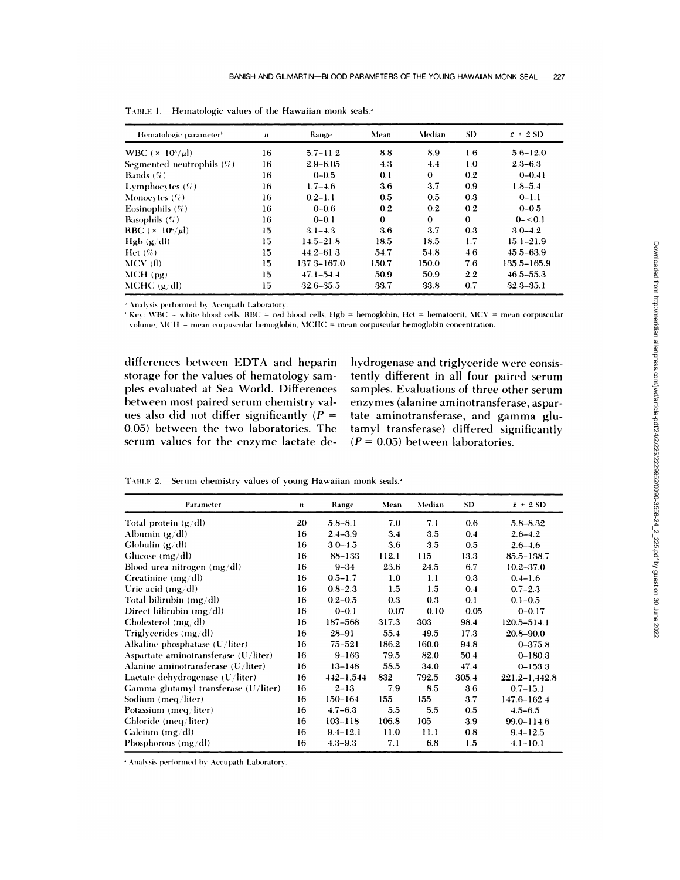| Hematologic parameter <sup>6</sup> | n  |                 | Mean     | Median       | SD.      | $\bar{x} \pm 2$ SD |  |
|------------------------------------|----|-----------------|----------|--------------|----------|--------------------|--|
| WBC $(\times 10^3/\mu l)$          | 16 | $5.7 - 11.2$    | 8.8      | 8.9          | 1.6      | $5.6 - 12.0$       |  |
| Segmented neutrophils $(\%)$       | 16 | $2.9 - 6.05$    | 4.3      | 4.4          | 1.0      | $2.3 - 6.3$        |  |
| Bands $(\%)$                       | 16 | $0 - 0.5$       | 0.1      | $\mathbf{0}$ | 0.2      | $0 - 0.41$         |  |
| <b>Lymphoevies</b> $(\%)$          | 16 | $1.7 - 4.6$     | 3.6      | 3.7          | 0.9      | $1.8 - 5.4$        |  |
| Monocytes $(\%)$                   | 16 | $0.2 - 1.1$     | 0.5      | 0.5          | 0.3      | $0 - 1.1$          |  |
| Eosinophils $(\%)$                 | 16 | $0 - 0.6$       | 0.2      | 0.2          | 0.2      | $0 - 0.5$          |  |
| Basophils $(\mathcal{C}_t)$        | 16 | $0 - 0.1$       | $\bf{0}$ | $\bf{0}$     | $\Omega$ | $0 - 0.1$          |  |
| RBC $(\times 10^{\circ}/\mu l)$    | 15 | $3.1 - 4.3$     | 3.6      | 3.7          | 0.3      | $3.0 - 4.2$        |  |
| Hgb $(g/dl)$                       | 15 | $14.5 - 21.8$   | 18.5     | 18.5         | 1.7      | $15.1 - 21.9$      |  |
| $Het(S_{\theta})$                  | 15 | $44.2 - 61.3$   | 54.7     | 54.8         | 4.6      | $45.5 - 63.9$      |  |
| $MCV$ (f)                          | 15 | $137.3 - 167.0$ | 150.7    | 150.0        | 7.6      | 135.5-165.9        |  |
| MCH(pg)                            | 15 | $47.1 - 54.4$   | 50.9     | 50.9         | 2.2      | $46.5 - 55.3$      |  |
| $MCHC$ (g/dl)                      | 15 | $32.6 - 35.5$   | 33.7     | 33.8         | 0.7      | $32.3 - 35.1$      |  |

TABLE 1. Hematologic values of the Hawaiian monk seals.<sup>4</sup>

<sup>2</sup> Analysis performed by Accupath Laboratory.

 $\pm$  Key: WBC = white blood cells, RBC = red blood cells, Hgb = hemoglobin, Hct = hematocrit, MCV = mean corpuscular volume, MCH = mean corpuscular hemoglobin, MCHC = mean corpuscular hemoglobin concentration.

differences between EDTA and heparin storage for the values of hematology samples evaluated at Sea World. Differences between most paired serum chemistry values also did not differ significantly ( $P =$ 0.05) between the two laboratories. The serum values for the enzyme lactate de-

hydrogenase and triglyceride were consistently different in all four paired serum samples. Evaluations of three other serum enzymes (alanine aminotransferase, aspartate aminotransferase, and gamma glutamyl transferase) differed significantly  $(P = 0.05)$  between laboratories.

TABLE 2. Serum chemistry values of young Hawaiian monk seals.<sup>4</sup>

| Parameter                                   | $\boldsymbol{n}$ | Range         | Mean  | Median  | SD    | $\bar{x} \pm 2 \text{ SD}$ |
|---------------------------------------------|------------------|---------------|-------|---------|-------|----------------------------|
| Total protein $(g/dl)$                      | 20               | $5.8 - 8.1$   | 7.0   | 7.1     | 0.6   | $5.8 - 8.32$               |
| Albumin $(g/dl)$                            | 16               | $2.4 - 3.9$   | 3.4   | 3.5     | 0.4   | $2.6 - 4.2$                |
| Globulin $(g/dl)$                           | 16               | $3.0 - 4.5$   | 3.6   | $3.5\,$ | 0.5   | $2.6 - 4.6$                |
| Glucose $(mg/dl)$                           | 16               | 88-133        | 112.1 | 115     | 13.3  | $85.5 - 138.7$             |
| Blood urea nitrogen $(mg/dl)$               | 16               | $9 - 34$      | 23.6  | 24.5    | 6.7   | $10.2 - 37.0$              |
| Creatinine (mg/dl)                          | 16               | $0.5 - 1.7$   | 1.0   | 1.1     | 0.3   | $0.4 - 1.6$                |
| Uric acid $(mg/dl)$                         | 16               | $0.8 - 2.3$   | 1.5   | 1.5     | 0.4   | $0.7 - 2.3$                |
| Total bilirubin $(mg/dl)$                   | 16               | $0.2 - 0.5$   | 0.3   | 0.3     | 0.1   | $0.1 - 0.5$                |
| Direct bilirubin $(mg/dl)$                  | 16               | $0 - 0.1$     | 0.07  | 0.10    | 0.05  | $0 - 0.17$                 |
| Cholesterol (mg/dl)                         | 16               | 187-568       | 317.3 | 303     | 98.4  | $120.5 - 514.1$            |
| Triglycerides $(mg/dl)$                     | 16               | $28 - 91$     | 55.4  | 49.5    | 17.3  | 20.8-90.0                  |
| Alkaline phosphatase $(U/liter)$            | 16               | $75 - 521$    | 186.2 | 160.0   | 94.8  | $0 - 375.8$                |
| Aspartate aminotransferase $(U/liter)$      | 16               | $9 - 163$     | 79.5  | 82.0    | 50.4  | $0 - 180.3$                |
| Alanine aminotransferase $(U/\text{liter})$ | 16               | $13 - 148$    | 58.5  | 34.0    | 47.4  | $0 - 153.3$                |
| Lactate dehydrogenase $(U/\text{liter})$    | 16               | $442 - 1,544$ | 832   | 792.5   | 305.4 | $221.2 - 1,442.8$          |
| Gamma glutamyl transferase (U/liter)        | 16               | $2 - 13$      | 7.9   | 8.5     | 3.6   | $0.7 - 15.1$               |
| Sodium (meq/liter)                          | 16               | $150 - 164$   | 155   | 155     | 3.7   | $147.6 - 162.4$            |
| Potassium (meq/liter)                       | 16               | $4.7 - 6.3$   | 5.5   | 5.5     | 0.5   | $4.5 - 6.5$                |
| Chloride (meq/liter)                        | 16               | $103 - 118$   | 106.8 | 105     | 3.9   | 99.0-114.6                 |
| Calcium $(mg/dl)$                           | 16               | $9.4 - 12.1$  | 11.0  | 11.1    | 0.8   | $9.4 - 12.5$               |
| Phosphorous $(mg/dl)$                       | 16               | $4.3 - 9.3$   | 7.1   | 6.8     | 1.5   | $4.1 - 10.1$               |

<sup>2</sup> Analysis performed by Accupath Laboratory.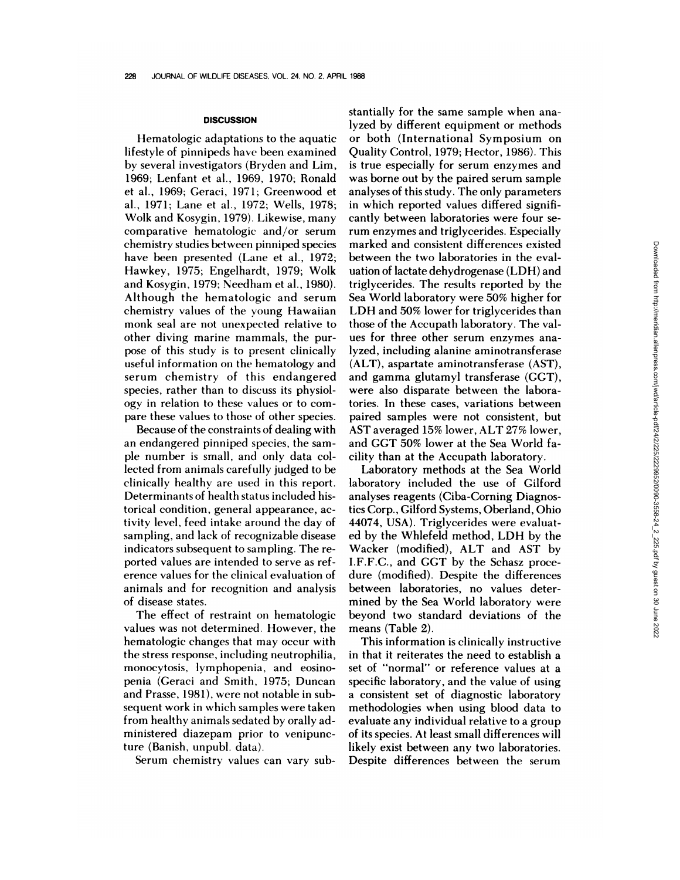## **DISCUSSION**

Hematologic adaptations to the aquatic lifestyle of pinnipeds have been examined by several investigators (Bryden and Lim, 1969; Lenfant et al., 1969, 1970; Ronald et al., 1969; Geraci, 1971; Greenwood et al., 1971; Lane et al., 1972; Wells, 1978; Wolk and Kosygin, 1979). Likewise, many comparative hematologic and/or serum chemistry studies between pinniped species have been presented (Lane et al., 1972; Hawkey, 1975; Engelhardt, 1979; Wolk and Kosygin, 1979; Needham et al., 1980). Although the hematologic and serum chemistry values of the young Hawaiian monk seal are not unexpected relative to other diving marine mammals, the purpose of this study is to present clinically useful information on the hematology and serum chemistry of this endangered species, rather than to discuss its physiology in relation to these values or to com pare these values to those of other species.

Because of the constraints of dealing with an endangered pinniped species, the sam ple number is small, and only data collected from animals carefully judged to be clinically healthy are used in this report. Determinants of health status included historical condition, general appearance, activity level, feed intake around the day of sampling, and lack of recognizable disease indicators subsequent to sampling. The re ported values are intended to serve as ref erence values for the clinical evaluation of animals and for recognition and analysis of disease states.

The effect of restraint on hematologic values was not determined. However, the hematologic changes that may occur with the stress response, including neutrophilia, monocytosis, lymphopenia, and eosinopenia (Geraci and Smith, 1975; Duncan and Prasse, 1981), were not notable in subsequent work in which samples were taken from healthy animals sedated by orally administered diazepam prior to venipuncture (Banish, unpubl. data).

Serum chemistry values can vary sub-

stantially for the same sample when analyzed by different equipment or methods or both (International Symposium on Quality Control, 1979; Hector, 1986). This is true especially for serum enzymes and was borne out by the paired serum sample analyses of this study. The only parameters in which reported values differed significantly between laboratories were four serum enzymes and triglycerides. Especially marked and consistent differences existed between the two laboratories in the evaluation of lactate dehydrogenase (LDH) and triglycerides. The results reported by the Sea World laboratory were 50% higher for LDH and 50% lower for triglycerides than those of the Accupath laboratory. The val ues for three other serum enzymes analyzed, including alanine aminotransferase (ALT), aspartate aminotransferase (AST), and gamma glutamyl transferase (GGT), were also disparate between the laboratories. In these cases, variations between paired samples were not consistent, but AST averaged 15% lower, ALT 27% lower, and GGT 50% lower at the Sea World facility than at the Accupath laboratory.

Laboratory methods at the Sea World laboratory included the use of Gilford analyses reagents (Ciba-Corning Diagnostics Corp., Gilford Systems, Oberiand, Ohio 44074, USA). Triglycerides were evaluated by the Whlefeld method, LDH by the Wacker (modified), ALT and AST by I.F.F.C., and GGT by the Schasz procedure (modified). Despite the differences between laboratories, no values determined by the Sea World laboratory were beyond two standard deviations of the means (Table 2).

This information is clinically instructive in that it reiterates the need to establish a set of "normal" or reference values at a specific laboratory, and the value of using a consistent set of diagnostic laboratory methodologies when using blood data to evaluate any individual relative to a group of its species. At least small differences will likely exist between any two laboratories. Despite differences between the serum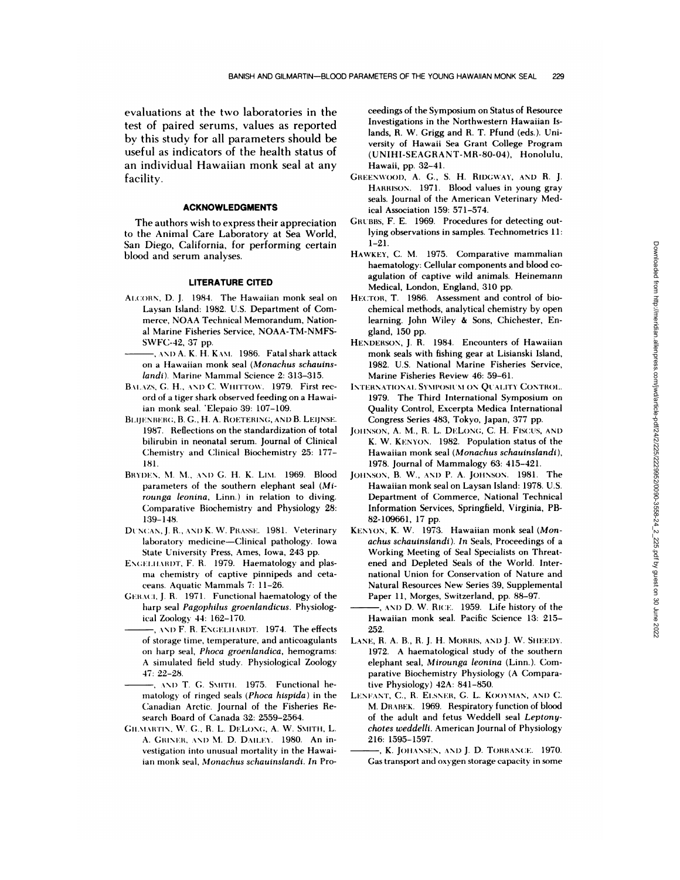evaluations at the two laboratories in the test of paired serums, values as reported by this study for all parameters should be useful as indicators of the health status of an individual Hawaiian monk seal at any facility.

# **ACKNOWLEDGMENTS**

The authors wish to express their appreciation to the Animal Care Laboratory at Sea World, San Diego, California, for performing certain blood and serum analyses.

# **LITERATURE CITED**

- Al.COBN, D. J. 1984. The Hawaiian monk seal on Laysan Island: 1982. U.S. Department of Com merce, NOAA Technical Memorandum, Nation al Marine Fisheries Service, NOAA-TM-NMFS- SWFC-42, 37 pp.
- -, AND A. K. H. KAM. 1986. Fatal shark attack on a Hawaiian monk seal *(Monachus schauinslandi).* Marine Mammal Science 2: 313-315.
- BALAZS, G. H., AND C. WHITTOW. 1979. First record of a tiger shark observed feeding on a Hawaiian monk seal. 'Elepaio 39: 107-109.
- BLIJENBERG, B. G., H. A. ROETERING, AND B. LEIJNSE. 1987. Reflections on the standardization of total bilirubin in neonatal serum. Journal of Clinical Chemistry and Clinical Biochemistry 25: 177- 181.
- BRYDEN, M. M., AND G. H. K. LIM. 1969. Blood parameters of the southern elephant seal *(Mi rounga leonina,* Linn.) in relation to diving. Comparative Biochemistry and Physiology 28: 139-148.
- DUNCAN, J. R., AND K. W. PRASSE. 1981. Veterinary laboratory medicine-Clinical pathology. Iowa State University Press, Ames, Iowa, 243 pp.
- ENGELHARDT, F. R. 1979. Haematology and plasma chemistry of captive pinnipeds and ceta ceans. Aquatic Mammals 7: 11-26.
- GERACI, J. R. 1971. Functional haematology of the harp seal *Pagophilus groenlandicus.* Physiological Zoology 44: 162-170.
- , AND F. R. ENGELHARDT. 1974. The effects of storage time, temperature, and anticoagulants on harp seal, *Phoca groenlandica,* hemograms: A simulated field study. Physiological Zoology 47: 22-28.
- -, AND T. G. SMITH. 1975. Functional hematology of ringed seals *(Phoca hispida)* in the Canadian Arctic. Journal of the Fisheries Re search Board of Canada 32: 2559-2564.
- GILMARTIN, W. G., R. L. DELONG, A. W. SMITH, L. A. GRINER, AND M. D. DAILEY. 1980. An investigation into unusual mortality in the Hawaiian monk seal, *Monachus schauinslandi. In* Pro-

ceedings of the Symposium on Status of Resource Investigations in the Northwestern Hawaiian Islands, R. W. Grigg and R. T. Pfund *(eds.).* Uni versity of Hawaii Sea Grant College Program (UNIHI-SEAGRANT-MR-80-04), Honolulu, Hawaii, pp. 32-41.

- GREENWOOD, A. G., S. H. RIDGWAY, AND R. J. HARRISON. 1971. Blood values in young gray seals. Journal of the American Veterinary Medical Association 159: 571-574.
- GRUBBS, F. E. 1969. Procedures for detecting outlying observations in samples. Technometrics 11: 1-21.
- HAWKEY, C. M. 1975. Comparative mammalian haematology: Cellular components and blood co agulation of captive wild animals. Heinemann Medical, London, England, 310 pp.
- HECTOR, T. 1986. Assessment and control of bio chemical methods, analytical chemistry by open learning. John Wiley & Sons, Chichester, England, 150 pp.
- **HENDERSON,** J. R. 1984. Encounters of Hawaiian monk seals with fishing gear at Lisianski Island, 1982. U.S. National Marine Fisheries Service, Marine Fisheries Review 46:59-61.
- IN'I'EBNATIONAI. SY\II'OSICSI **ON QUALITY CoNTROl..** 1979. The Third International Symposium on Quality Control, Excerpta Medica International Congress Series 483, Tokyo, Japan, 377 pp.
- JOhNSON, A. M., R. L. **DELONC,** C. H. Fiscus, AND K. W. **KENYON.** 1982. Population status of the Hawaiian monk seal *(Monachus schauinslandi),* 1978. Journal of Mammalogy 63: 415-421.
- **JOHNSON,** B. W., ANI) P. A. **JOHNSON.** 1981. The Hawaiian monk seal on Laysan Island: 1978. U.S. Department of Commerce, National Technical Information Services, Springfield, Virginia, PB- 82-109661, 17 pp.
- KENYON, K. W. 1973. Hawaiian monk seal *(Mon achus schauinslandi). In* Seals, Proceedings of a Working Meeting of Seal Specialists on Threat ened and Depleted Seals of the World. Inter national Union for Conservation of Nature and Natural Resources New Series 39, Supplemental Paper 11, Morges, Switzerland, pp. 88-97.
- -, AND D. W. RICE. 1959. Life history of the Hawaiian monk seal. Pacific Science 13: 215- 252.
- LANE, R. A. B., R. J. H. MORRIS, AND J. W. SHEEDY. 1972. A haematological study of the southern elephant seal, *Mirounga leonina* (Linn.). Comparative Biochemistry Physiology (A Comparative Physiology) 42A: 841-850.
- LENFANT, C., R. ELSNER, G. L. KOOYMAN, AND C. M. DRABEK. 1969. Respiratory function of blood of the adult and fetus Weddell seal *Leptony chotes weddelli.* American Journal of Physiology 216: 1595-1597.
	- , K. JOHANSEN, AND J. D. TORRANCE. 1970. Gas transport and oxygen storage capacity in some